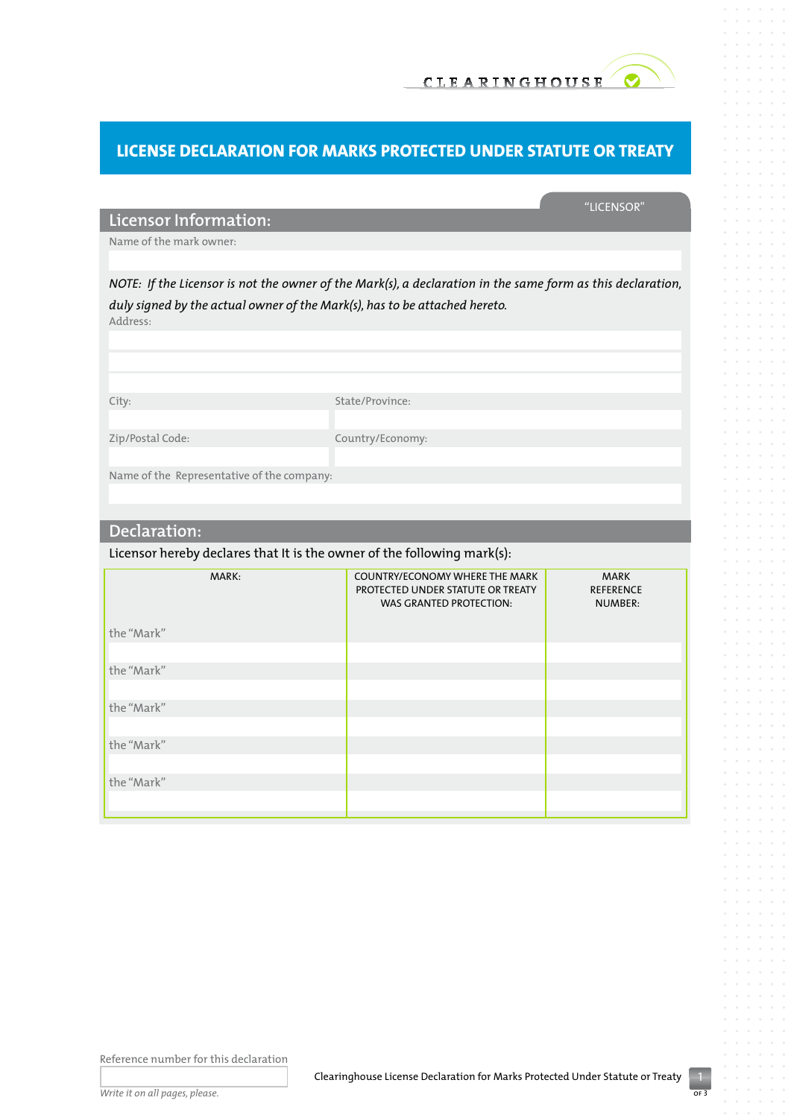

# **License Declaration for Marks Protected Under Statute or Treaty**

## "Licensor"

**Licensor Information:**

Name of the mark owner:

*NOTE: If the Licensor is not the owner of the Mark(s), a declaration in the same form as this declaration, duly signed by the actual owner of the Mark(s), has to be attached hereto.*  Address:

City: State/Province: Zip/Postal Code: Country/Economy: Name of the Representative of the company:

## **Declaration:**

Licensor hereby declares that It is the owner of the following mark(s):

| MARK:<br>the "Mark" | <b>COUNTRY/ECONOMY WHERE THE MARK</b><br>PROTECTED UNDER STATUTE OR TREATY<br><b>WAS GRANTED PROTECTION:</b> | <b>MARK</b><br><b>REFERENCE</b><br><b>NUMBER:</b> |  |
|---------------------|--------------------------------------------------------------------------------------------------------------|---------------------------------------------------|--|
|                     |                                                                                                              |                                                   |  |
|                     |                                                                                                              |                                                   |  |
| the "Mark"          |                                                                                                              |                                                   |  |
|                     |                                                                                                              |                                                   |  |
| the "Mark"          |                                                                                                              |                                                   |  |
|                     |                                                                                                              |                                                   |  |
| the "Mark"          |                                                                                                              |                                                   |  |
|                     |                                                                                                              |                                                   |  |
| the "Mark"          |                                                                                                              |                                                   |  |
|                     |                                                                                                              |                                                   |  |
|                     |                                                                                                              |                                                   |  |

Reference number for this declaration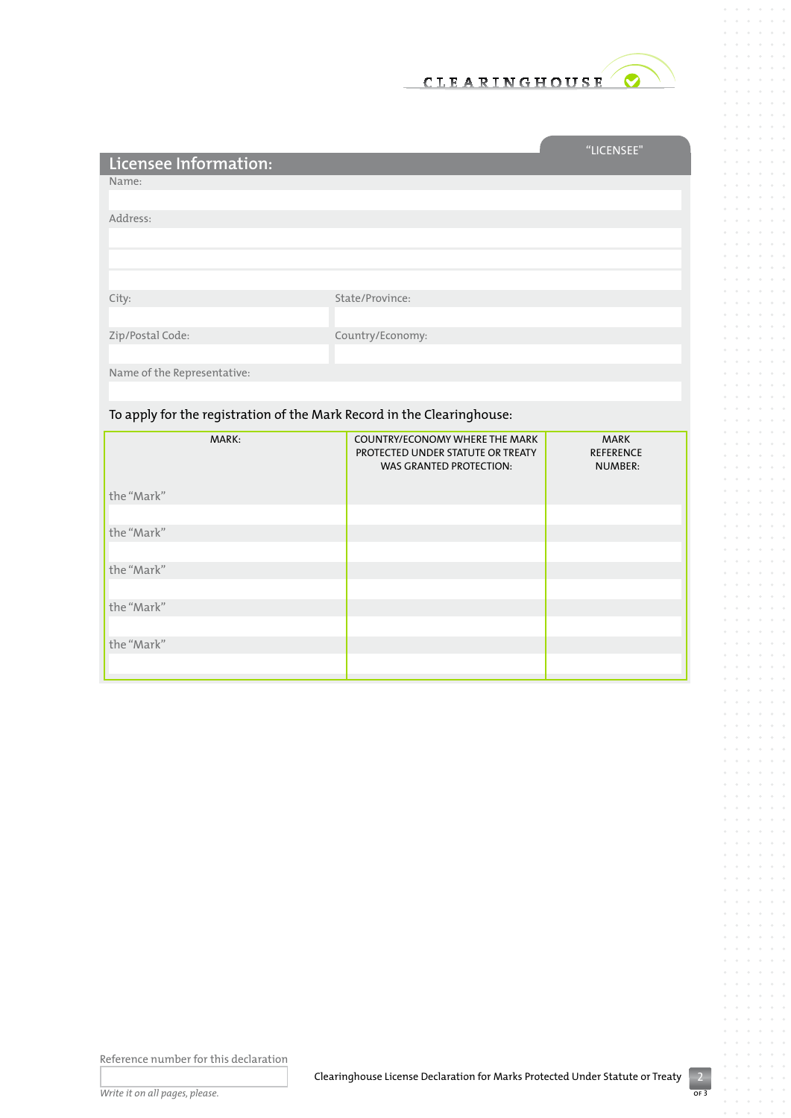

and the control of the control of

|                             |                  | "LICENSEE" |
|-----------------------------|------------------|------------|
| Licensee Information:       |                  |            |
| Name:                       |                  |            |
|                             |                  |            |
| Address:                    |                  |            |
|                             |                  |            |
|                             |                  |            |
|                             |                  |            |
| City:                       | State/Province:  |            |
|                             |                  |            |
| Zip/Postal Code:            | Country/Economy: |            |
|                             |                  |            |
| Name of the Representative: |                  |            |
|                             |                  |            |

## To apply for the registration of the Mark Record in the Clearinghouse:

| MARK:      | <b>COUNTRY/ECONOMY WHERE THE MARK</b><br>PROTECTED UNDER STATUTE OR TREATY<br><b>WAS GRANTED PROTECTION:</b> | <b>MARK</b><br><b>REFERENCE</b><br><b>NUMBER:</b> |
|------------|--------------------------------------------------------------------------------------------------------------|---------------------------------------------------|
| the "Mark" |                                                                                                              |                                                   |
| the "Mark" |                                                                                                              |                                                   |
|            |                                                                                                              |                                                   |
| the "Mark" |                                                                                                              |                                                   |
| the "Mark" |                                                                                                              |                                                   |
|            |                                                                                                              |                                                   |
| the "Mark" |                                                                                                              |                                                   |

Reference number for this declaration

I